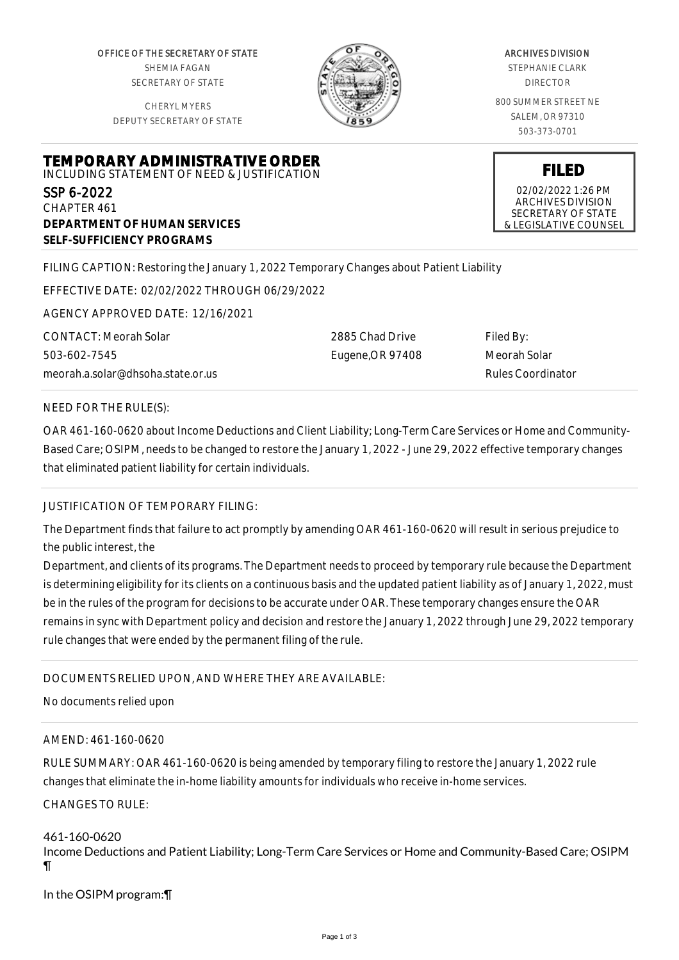OFFICE OF THE SECRETARY OF STATE SHEMIA FAGAN SECRETARY OF STATE

CHERYL MYERS DEPUTY SECRETARY OF STATE



#### ARCHIVES DIVISION

STEPHANIE CLARK DIRECTOR

800 SUMMER STREET NE SALEM, OR 97310 503-373-0701

**FILED** 02/02/2022 1:26 PM ARCHIVES DIVISION SECRETARY OF STATE & LEGISLATIVE COUNSEL

# **TEMPORARY ADMINISTRATIVE ORDER** INCLUDING STATEMENT OF NEED & JUSTIFICATION

SSP 6-2022 CHAPTER 461 **DEPARTMENT OF HUMAN SERVICES SELF-SUFFICIENCY PROGRAMS**

FILING CAPTION: Restoring the January 1, 2022 Temporary Changes about Patient Liability

EFFECTIVE DATE: 02/02/2022 THROUGH 06/29/2022

AGENCY APPROVED DATE: 12/16/2021

CONTACT: Meorah Solar 503-602-7545 meorah.a.solar@dhsoha.state.or.us 2885 Chad Drive Eugene,OR 97408 Filed By: Meorah Solar Rules Coordinator

### NEED FOR THE RULE(S):

OAR 461-160-0620 about Income Deductions and Client Liability; Long-Term Care Services or Home and Community-Based Care; OSIPM, needs to be changed to restore the January 1, 2022 - June 29, 2022 effective temporary changes that eliminated patient liability for certain individuals.

### JUSTIFICATION OF TEMPORARY FILING:

The Department finds that failure to act promptly by amending OAR 461-160-0620 will result in serious prejudice to the public interest, the

Department, and clients of its programs. The Department needs to proceed by temporary rule because the Department is determining eligibility for its clients on a continuous basis and the updated patient liability as of January 1, 2022, must be in the rules of the program for decisions to be accurate under OAR. These temporary changes ensure the OAR remains in sync with Department policy and decision and restore the January 1, 2022 through June 29, 2022 temporary rule changes that were ended by the permanent filing of the rule.

### DOCUMENTS RELIED UPON, AND WHERE THEY ARE AVAILABLE:

No documents relied upon

### AMEND: 461-160-0620

RULE SUMMARY: OAR 461-160-0620 is being amended by temporary filing to restore the January 1, 2022 rule changes that eliminate the in-home liability amounts for individuals who receive in-home services.

## CHANGES TO RULE:

461-160-0620 Income Deductions and Patient Liability; Long-Term Care Services or Home and Community-Based Care; OSIPM ¶

In the OSIPM program:¶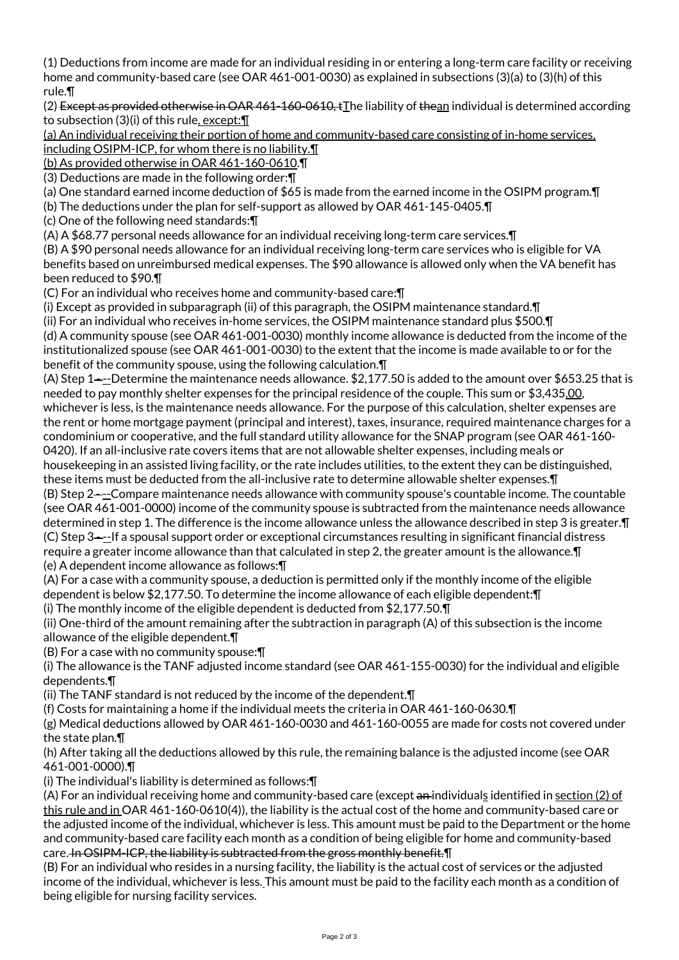(1) Deductions from income are made for an individual residing in or entering a long-term care facility or receiving home and community-based care (see OAR 461-001-0030) as explained in subsections (3)(a) to (3)(h) of this rule.¶

(2) Except as provided otherwise in OAR 461-160-0610, tThe liability of thean individual is determined according to subsection (3)(i) of this rule, except:¶

(a) An individual receiving their portion of home and community-based care consisting of in-home services, including OSIPM-ICP, for whom there is no liability.¶

(b) As provided otherwise in OAR 461-160-0610.¶

(3) Deductions are made in the following order:¶

(a) One standard earned income deduction of \$65 is made from the earned income in the OSIPM program.¶

(b) The deductions under the plan for self-support as allowed by OAR 461-145-0405.¶

(c) One of the following need standards:¶

(A) A \$68.77 personal needs allowance for an individual receiving long-term care services.¶

(B) A \$90 personal needs allowance for an individual receiving long-term care services who is eligible for VA benefits based on unreimbursed medical expenses. The \$90 allowance is allowed only when the VA benefit has been reduced to \$90.¶

(C) For an individual who receives home and community-based care:¶

(i) Except as provided in subparagraph (ii) of this paragraph, the OSIPM maintenance standard.¶

(ii) For an individual who receives in-home services, the OSIPM maintenance standard plus \$500.¶ (d) A community spouse (see OAR 461-001-0030) monthly income allowance is deducted from the income of the institutionalized spouse (see OAR 461-001-0030) to the extent that the income is made available to or for the benefit of the community spouse, using the following calculation.¶

(A) Step 1 $-$ -Determine the maintenance needs allowance. \$2,177.50 is added to the amount over \$653.25 that is needed to pay monthly shelter expenses for the principal residence of the couple. This sum or \$3,435.00, whichever is less, is the maintenance needs allowance. For the purpose of this calculation, shelter expenses are the rent or home mortgage payment (principal and interest), taxes, insurance, required maintenance charges for a condominium or cooperative, and the full standard utility allowance for the SNAP program (see OAR 461-160- 0420). If an all-inclusive rate covers items that are not allowable shelter expenses, including meals or housekeeping in an assisted living facility, or the rate includes utilities, to the extent they can be distinguished,

these items must be deducted from the all-inclusive rate to determine allowable shelter expenses.¶

(B) Step 2 - --Compare maintenance needs allowance with community spouse's countable income. The countable (see OAR 461-001-0000) income of the community spouse is subtracted from the maintenance needs allowance determined in step 1. The difference is the income allowance unless the allowance described in step 3 is greater.¶ (C) Step 3 - --If a spousal support order or exceptional circumstances resulting in significant financial distress require a greater income allowance than that calculated in step 2, the greater amount is the allowance.¶ (e) A dependent income allowance as follows:¶

(A) For a case with a community spouse, a deduction is permitted only if the monthly income of the eligible dependent is below \$2,177.50. To determine the income allowance of each eligible dependent:¶

(i) The monthly income of the eligible dependent is deducted from \$2,177.50.¶

(ii) One-third of the amount remaining after the subtraction in paragraph (A) of this subsection is the income allowance of the eligible dependent.¶

(B) For a case with no community spouse:¶

(i) The allowance is the TANF adjusted income standard (see OAR 461-155-0030) for the individual and eligible dependents.¶

(ii) The TANF standard is not reduced by the income of the dependent.¶

(f) Costs for maintaining a home if the individual meets the criteria in OAR 461-160-0630.¶

(g) Medical deductions allowed by OAR 461-160-0030 and 461-160-0055 are made for costs not covered under the state plan.¶

(h) After taking all the deductions allowed by this rule, the remaining balance is the adjusted income (see OAR 461-001-0000).¶

(i) The individual's liability is determined as follows:¶

(A) For an individual receiving home and community-based care (except  $\alpha$ -individuals identified in section (2) of this rule and in OAR 461-160-0610(4)), the liability is the actual cost of the home and community-based care or the adjusted income of the individual, whichever is less. This amount must be paid to the Department or the home and community-based care facility each month as a condition of being eligible for home and community-based care. In OSIPM-ICP, the liability is subtracted from the gross monthly benefit. I

(B) For an individual who resides in a nursing facility, the liability is the actual cost of services or the adjusted income of the individual, whichever is less. This amount must be paid to the facility each month as a condition of being eligible for nursing facility services.